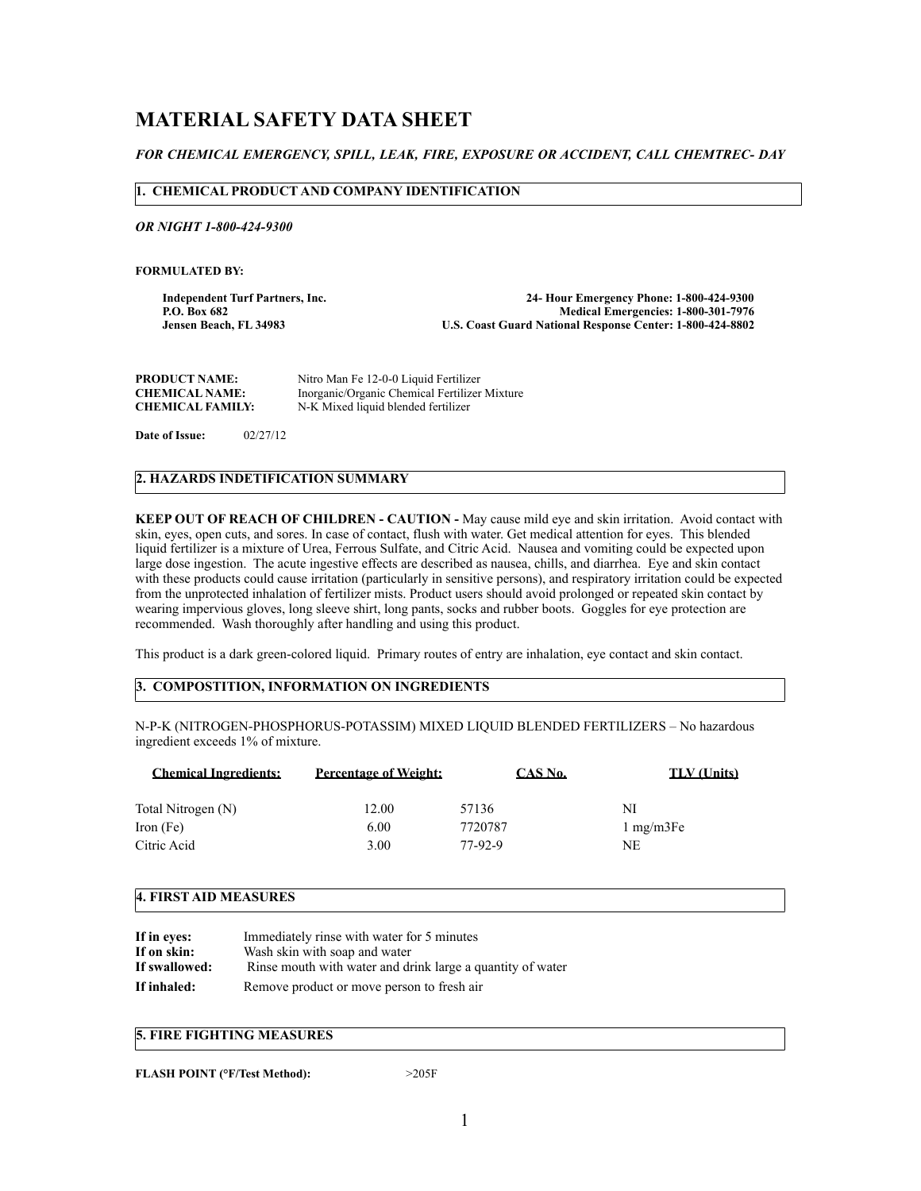# **MATERIAL SAFETY DATA SHEET**

# *FOR CHEMICAL EMERGENCY, SPILL, LEAK, FIRE, EXPOSURE OR ACCIDENT, CALL CHEMTREC- DAY*

## **1. CHEMICAL PRODUCT AND COMPANY IDENTIFICATION**

*OR NIGHT 1-800-424-9300*

**FORMULATED BY:** 

**Independent Turf Partners, Inc. 24- Hour Emergency Phone: 1-800-424-9300** P.O. Box 682<br>Jensen Beach, FL 34983 *Medical Emergencies: 1-800-301-7976*<br>U.S. Coast Guard National Response Center: 1-800-424-8802 **U.S. Coast Guard National Response Center: 1-800-424-8802** 

| <b>PRODUCT NAME:</b>    | Nitro Man Fe 12-0-0 Liquid Fertilizer         |
|-------------------------|-----------------------------------------------|
| <b>CHEMICAL NAME:</b>   | Inorganic/Organic Chemical Fertilizer Mixture |
| <b>CHEMICAL FAMILY:</b> | N-K Mixed liquid blended fertilizer           |

**Date of Issue:** 02/27/12

# **2. HAZARDS INDETIFICATION SUMMARY**

**KEEP OUT OF REACH OF CHILDREN - CAUTION -** May cause mild eye and skin irritation. Avoid contact with skin, eyes, open cuts, and sores. In case of contact, flush with water. Get medical attention for eyes. This blended liquid fertilizer is a mixture of Urea, Ferrous Sulfate, and Citric Acid. Nausea and vomiting could be expected upon large dose ingestion. The acute ingestive effects are described as nausea, chills, and diarrhea. Eye and skin contact with these products could cause irritation (particularly in sensitive persons), and respiratory irritation could be expected from the unprotected inhalation of fertilizer mists. Product users should avoid prolonged or repeated skin contact by wearing impervious gloves, long sleeve shirt, long pants, socks and rubber boots. Goggles for eye protection are recommended. Wash thoroughly after handling and using this product.

This product is a dark green-colored liquid. Primary routes of entry are inhalation, eye contact and skin contact.

# **3. COMPOSTITION, INFORMATION ON INGREDIENTS**

N-P-K (NITROGEN-PHOSPHORUS-POTASSIM) MIXED LIQUID BLENDED FERTILIZERS – No hazardous ingredient exceeds 1% of mixture.

| <b>Chemical Ingredients:</b> | <b>Percentage of Weight:</b> | CAS No. | <b>TLV</b> (Units)  |
|------------------------------|------------------------------|---------|---------------------|
| Total Nitrogen (N)           | 12.00                        | 57136   | NI                  |
| Iron (Fe)                    | 6.00                         | 7720787 | $1 \text{ mg/m3Fe}$ |
| Citric Acid                  | 3.00                         | 77-92-9 | NE                  |

#### **4. FIRST AID MEASURES**

| If in eyes:   | Immediately rinse with water for 5 minutes                 |
|---------------|------------------------------------------------------------|
| If on skin:   | Wash skin with soap and water                              |
| If swallowed: | Rinse mouth with water and drink large a quantity of water |
| If inhaled:   | Remove product or move person to fresh air                 |

## **5. FIRE FIGHTING MEASURES**

**FLASH POINT (°F/Test Method):** >205F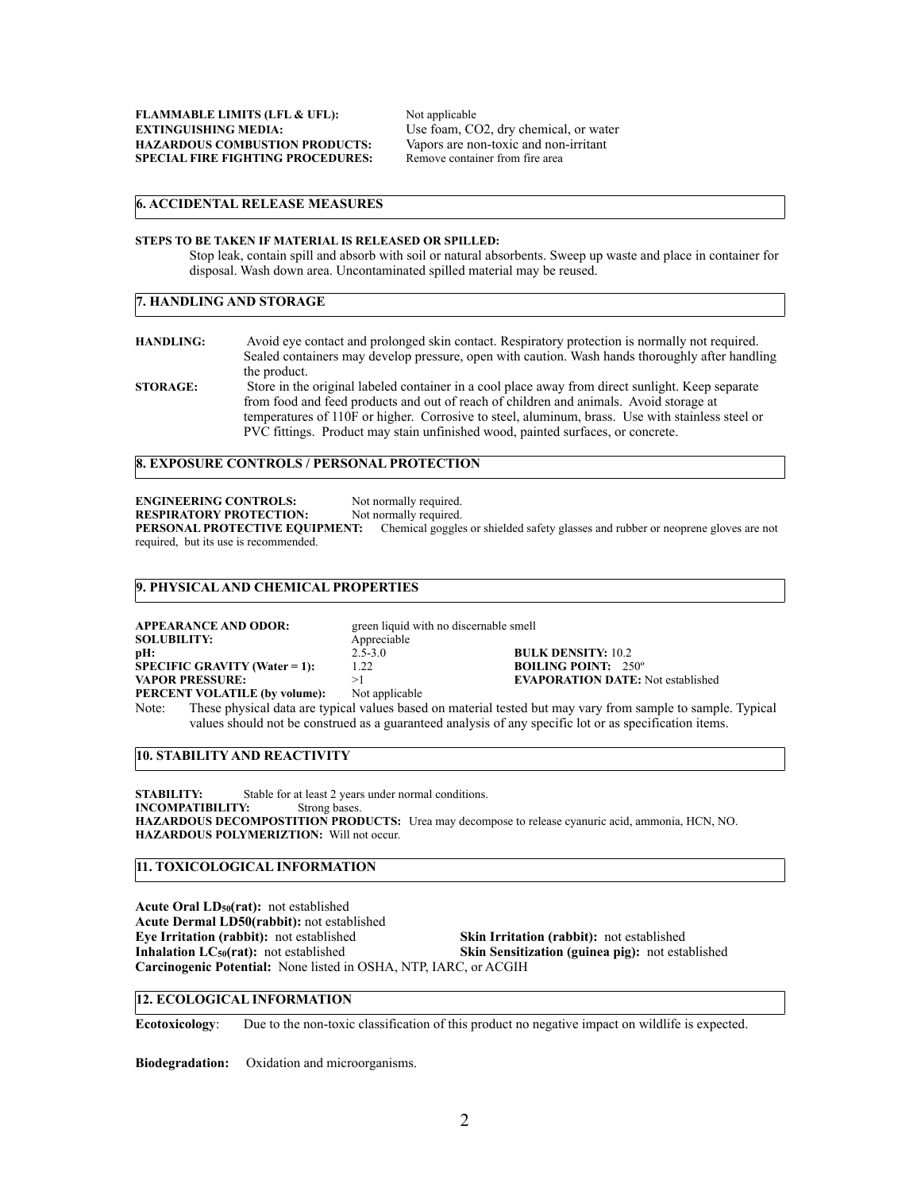## **6. ACCIDENTAL RELEASE MEASURES**

#### **STEPS TO BE TAKEN IF MATERIAL IS RELEASED OR SPILLED:**

Stop leak, contain spill and absorb with soil or natural absorbents. Sweep up waste and place in container for disposal. Wash down area. Uncontaminated spilled material may be reused.

## **7. HANDLING AND STORAGE**

**HANDLING:** Avoid eye contact and prolonged skin contact. Respiratory protection is normally not required. Sealed containers may develop pressure, open with caution. Wash hands thoroughly after handling the product. **STORAGE:** Store in the original labeled container in a cool place away from direct sunlight. Keep separate

from food and feed products and out of reach of children and animals. Avoid storage at temperatures of 110F or higher. Corrosive to steel, aluminum, brass. Use with stainless steel or PVC fittings. Product may stain unfinished wood, painted surfaces, or concrete.

# **8. EXPOSURE CONTROLS / PERSONAL PROTECTION**

**ENGINEERING CONTROLS:** Not normally required. **RESPIRATORY PROTECTION:** Not normally required. **PERSONAL PROTECTIVE EQUIPMENT:** Chemical goggles or shielded safety glasses and rubber or neoprene gloves are not required, but its use is recommended.

#### **9. PHYSICAL AND CHEMICAL PROPERTIES**

| APPEARANCE AND ODOR:            | green liquid with no discernable smell |                                          |
|---------------------------------|----------------------------------------|------------------------------------------|
| <b>SOLUBILITY:</b>              | Appreciable                            |                                          |
| pH:                             | $2.5 - 3.0$                            | <b>BULK DENSITY: 10.2</b>                |
| $SPECIFIC$ GRAVITY (Water = 1): | 1.22                                   | <b>BOILING POINT:</b> $250^\circ$        |
| <b>VAPOR PRESSURE:</b>          |                                        | <b>EVAPORATION DATE:</b> Not established |
| PERCENT VOLATILE (by volume):   | Not applicable                         |                                          |

Note: These physical data are typical values based on material tested but may vary from sample to sample. Typical values should not be construed as a guaranteed analysis of any specific lot or as specification items.

## **10. STABILITY AND REACTIVITY**

**STABILITY:** Stable for at least 2 years under normal conditions.<br>INCOMPATIBILITY: Strong bases. **INCOMPATIBILITY: HAZARDOUS DECOMPOSTITION PRODUCTS:** Urea may decompose to release cyanuric acid, ammonia, HCN, NO. **HAZARDOUS POLYMERIZTION:** Will not occur.

# **11. TOXICOLOGICAL INFORMATION**

Acute Oral LD<sub>50</sub>(rat): not established **Acute Dermal LD50(rabbit):** not established **Eye Irritation (rabbit):** not established **Skin Irritation (rabbit):** not established **Inhalation LC<sub>50</sub>(rat):** not established **Skin Sensitization (guinea pig):** not esta **Skin Sensitization (guinea pig):** not established **Carcinogenic Potential:** None listed in OSHA, NTP, IARC, or ACGIH

#### **12. ECOLOGICAL INFORMATION**

**Ecotoxicology**: Due to the non-toxic classification of this product no negative impact on wildlife is expected.

**Biodegradation:** Oxidation and microorganisms.